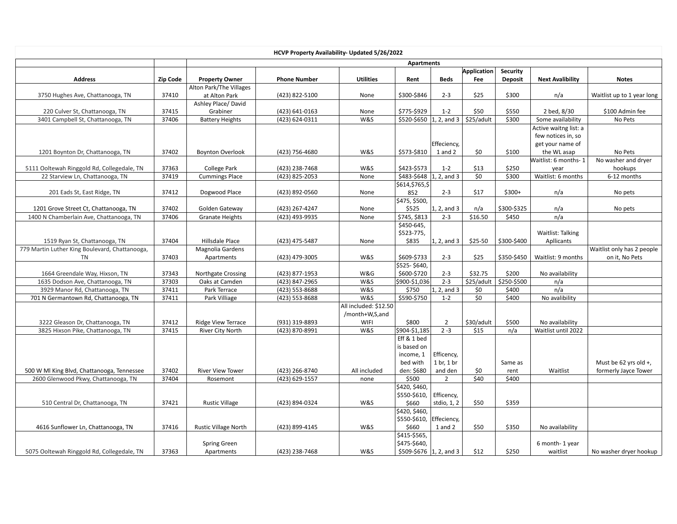|                                                             |          |                                          | HCVP Property Availability- Updated 5/26/2022 |                       |                                          |                 |                           |                            |                            |                                              |  |
|-------------------------------------------------------------|----------|------------------------------------------|-----------------------------------------------|-----------------------|------------------------------------------|-----------------|---------------------------|----------------------------|----------------------------|----------------------------------------------|--|
|                                                             |          | <b>Apartments</b>                        |                                               |                       |                                          |                 |                           |                            |                            |                                              |  |
| <b>Address</b>                                              | Zip Code | <b>Property Owner</b>                    | <b>Phone Number</b>                           | <b>Utilities</b>      | Rent                                     | <b>Beds</b>     | <b>Application</b><br>Fee | Security<br><b>Deposit</b> | <b>Next Avalibility</b>    | <b>Notes</b>                                 |  |
| 3750 Hughes Ave, Chattanooga, TN                            | 37410    | Alton Park/The Villages<br>at Alton Park | (423) 822-5100                                | None                  | \$300-\$846                              | $2 - 3$         | \$25                      | \$300                      | n/a                        | Waitlist up to 1 year long                   |  |
|                                                             |          | Ashley Place/David                       |                                               |                       |                                          |                 |                           |                            |                            |                                              |  |
| 220 Culver St, Chattanooga, TN                              | 37415    | Grabiner                                 | (423) 641-0163                                | None                  | \$775-\$929                              | $1 - 2$         | \$50                      | \$550                      | 2 bed, 8/30                | \$100 Admin fee                              |  |
| 3401 Campbell St, Chattanooga, TN                           | 37406    | <b>Battery Heights</b>                   | (423) 624-0311                                | W&S                   | \$520-\$650   1, 2, and $3$   \$25/adult |                 |                           | \$300                      | Some availability          | No Pets                                      |  |
|                                                             |          |                                          |                                               |                       |                                          |                 |                           |                            | Active waitng list: a      |                                              |  |
|                                                             |          |                                          |                                               |                       |                                          |                 |                           |                            | few notices in, so         |                                              |  |
|                                                             |          |                                          |                                               |                       |                                          | Effeciency,     |                           |                            | get your name of           |                                              |  |
| 1201 Boynton Dr, Chattanooga, TN                            | 37402    | <b>Boynton Overlook</b>                  | (423) 756-4680                                | W&S                   | \$573-\$810                              | 1 and 2         | \$0                       | \$100                      | the WL asap                | No Pets                                      |  |
|                                                             |          |                                          |                                               |                       |                                          |                 |                           |                            | Waitlist: 6 months-1       | No washer and dryer                          |  |
| 5111 Ooltewah Ringgold Rd, Collegedale, TN                  | 37363    | <b>College Park</b>                      | (423) 238-7468                                | W&S                   | \$423-\$573                              | $1 - 2$         | \$13                      | \$250                      | year                       | hookups                                      |  |
| 22 Starview Ln, Chattanooga, TN                             | 37419    | <b>Cummings Place</b>                    | (423) 825-2053                                | None                  | $$483-$648$ 1, 2, and 3                  |                 | \$0                       | \$300                      | Waitlist: 6 months         | 6-12 months                                  |  |
|                                                             |          |                                          |                                               |                       | \$614,\$765,\$                           |                 |                           |                            |                            |                                              |  |
| 201 Eads St, East Ridge, TN                                 | 37412    | Dogwood Place                            | (423) 892-0560                                | None                  | 852                                      | $2 - 3$         | \$17                      | $$300+$                    | n/a                        | No pets                                      |  |
|                                                             |          |                                          |                                               |                       | \$475, \$500,                            |                 |                           |                            |                            |                                              |  |
| 1201 Grove Street Ct, Chattanooga, TN                       | 37402    | Golden Gateway                           | (423) 267-4247                                | None                  | \$525                                    | 1, 2, and 3     | n/a                       | \$300-\$325                | n/a                        | No pets                                      |  |
| 1400 N Chamberlain Ave, Chattanooga, TN                     | 37406    | <b>Granate Heights</b>                   | (423) 493-9935                                | None                  | \$745, \$813                             | $2 - 3$         | \$16.50                   | \$450                      | n/a                        |                                              |  |
|                                                             |          |                                          |                                               |                       | \$450-645,                               |                 |                           |                            |                            |                                              |  |
|                                                             |          |                                          |                                               |                       | \$523-775,                               |                 |                           |                            | Waitlist: Talking          |                                              |  |
| 1519 Ryan St, Chattanooga, TN                               | 37404    | Hillsdale Place                          | (423) 475-5487                                | None                  | \$835                                    | $ 1, 2$ , and 3 | \$25-50                   | \$300-\$400                | Apllicants                 |                                              |  |
| 779 Martin Luther King Boulevard, Chattanooga,<br><b>TN</b> | 37403    | Magnolia Gardens<br>Apartments           | (423) 479-3005                                | W&S                   | \$609-\$733                              | $2 - 3$         | \$25                      | \$350-\$450                | Waitlist: 9 months         | Waitlist only has 2 people<br>on it, No Pets |  |
|                                                             |          |                                          |                                               |                       | \$525-\$640,                             |                 |                           |                            |                            |                                              |  |
| 1664 Greendale Way, Hixson, TN                              | 37343    | Northgate Crossing                       | (423) 877-1953                                | W&G                   | \$600-\$720                              | $2 - 3$         | \$32.75                   | \$200                      | No availability            |                                              |  |
| 1635 Dodson Ave, Chattanooga, TN                            | 37303    | Oaks at Camden                           | (423) 847-2965                                | W&S                   | \$900-\$1,036                            | $2 - 3$         | \$25/adult                | \$250-\$500                | n/a                        |                                              |  |
| 3929 Manor Rd, Chattanooga, TN                              | 37411    | Park Terrace                             | (423) 553-8688                                | W&S                   | \$750                                    | $ 1, 2,$ and 3  | \$0                       | \$400                      | n/a                        |                                              |  |
| 701 N Germantown Rd, Chattanooga, TN                        | 37411    | Park Villiage                            | (423) 553-8688                                | W&S                   | \$590-\$750                              | $1 - 2$         | \$0                       | \$400                      | No avalibility             |                                              |  |
|                                                             |          |                                          |                                               | All included: \$12.50 |                                          |                 |                           |                            |                            |                                              |  |
|                                                             |          |                                          |                                               | /month+W,S,and        |                                          |                 |                           |                            |                            |                                              |  |
| 3222 Gleason Dr, Chattanooga, TN                            | 37412    | Ridge View Terrace                       | (931) 319-8893                                | WIFI                  | \$800                                    | $\overline{2}$  | \$30/adult                | \$500                      | No availability            |                                              |  |
| 3825 Hixson Pike, Chattanooga, TN                           | 37415    | <b>River City North</b>                  | (423) 870-8991                                | W&S                   | \$904-\$1,185                            | $2 - 3$         | \$15                      | n/a                        | Waitlist until 2022        |                                              |  |
|                                                             |          |                                          |                                               |                       | Eff & 1 bed                              |                 |                           |                            |                            |                                              |  |
|                                                             |          |                                          |                                               |                       | is based on                              |                 |                           |                            |                            |                                              |  |
|                                                             |          |                                          |                                               |                       | income, 1                                | Efficency,      |                           |                            |                            |                                              |  |
|                                                             |          |                                          |                                               |                       | bed with                                 | 1 br, 1 br      |                           | Same as                    |                            | Must be 62 yrs old +,                        |  |
| 500 W MI King Blvd, Chattanooga, Tennessee                  | 37402    | <b>River View Tower</b>                  | (423) 266-8740                                | All included          | den: \$680                               | and den         | \$0                       | rent                       | Waitlist                   | formerly Jayce Tower                         |  |
| 2600 Glenwood Pkwy, Chattanooga, TN                         | 37404    | Rosemont                                 | (423) 629-1557                                | none                  | \$500                                    | $\overline{2}$  | \$40                      | \$400                      |                            |                                              |  |
|                                                             |          |                                          |                                               |                       | \$420, \$460,                            |                 |                           |                            |                            |                                              |  |
|                                                             |          |                                          |                                               |                       | \$550-\$610,                             | Efficency,      |                           |                            |                            |                                              |  |
| 510 Central Dr, Chattanooga, TN                             | 37421    | <b>Rustic Village</b>                    | (423) 894-0324                                | W&S                   | \$660                                    | stdio, 1, 2     | \$50                      | \$359                      |                            |                                              |  |
|                                                             |          |                                          |                                               |                       | \$420, \$460,                            |                 |                           |                            |                            |                                              |  |
|                                                             |          |                                          |                                               |                       | \$550-\$610,                             | Effeciency,     |                           |                            |                            |                                              |  |
| 4616 Sunflower Ln, Chattanooga, TN                          | 37416    | <b>Rustic Village North</b>              | (423) 899-4145                                | W&S                   | \$660                                    | 1 and 2         | \$50                      | \$350                      | No availability            |                                              |  |
|                                                             |          |                                          |                                               |                       | \$415-\$565,<br>\$475-\$640.             |                 |                           |                            |                            |                                              |  |
| 5075 Ooltewah Ringgold Rd, Collegedale, TN                  | 37363    | <b>Spring Green</b><br>Apartments        | (423) 238-7468                                | W&S                   | $$509-$676$ 1, 2, and 3                  |                 | \$12                      | \$250                      | 6 month-1 year<br>waitlist | No washer dryer hookup                       |  |
|                                                             |          |                                          |                                               |                       |                                          |                 |                           |                            |                            |                                              |  |